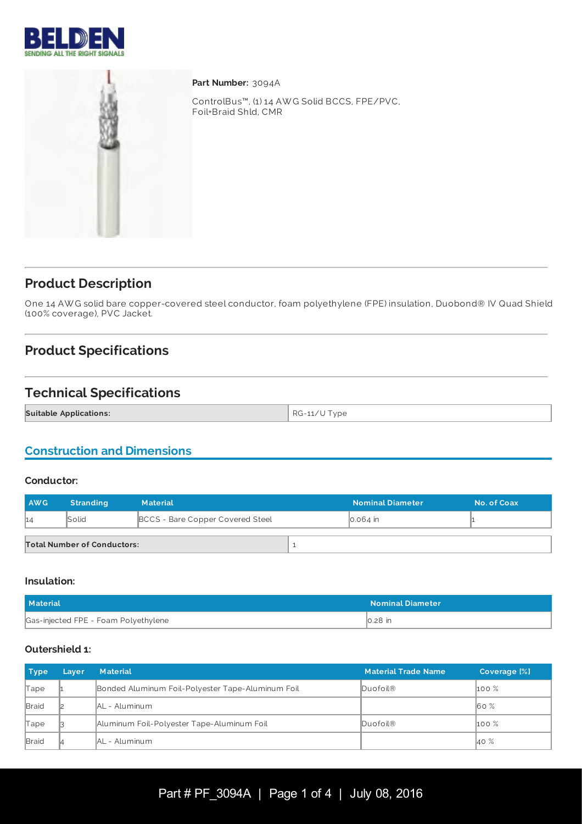



**Part Number:** 3094A

ControlBus™, (1) 14 AW G Solid BCCS, FPE/PVC, Foil+Braid Shld, CMR

# **Product Description**

One 14 AW G solid bare copper-covered steel conductor, foam polyethylene (FPE) insulation, Duobond® IV Quad Shield (100% coverage), PVC Jacket.

# **Product Specifications**

## **Technical Specifications**

**Suitable Applications:**  $\begin{array}{c|c} \text{RG-11/} \text{U Type} \end{array}$ 

## **Construction and Dimensions**

#### **Conductor:**

| <b>AWG</b> | <b>Stranding</b>                   | <b>Material</b>                  | <b>Nominal Diameter</b> | No. of Coax |
|------------|------------------------------------|----------------------------------|-------------------------|-------------|
| 14         | Solid                              | BCCS - Bare Copper Covered Steel | $\vert$ 0.064 in        |             |
|            | <b>Total Number of Conductors:</b> |                                  |                         |             |

#### **Insulation:**

| <b>Material</b>                      | <b>Nominal Diameter</b> |
|--------------------------------------|-------------------------|
| Gas-injected FPE - Foam Polyethylene | $\mathbb{I}$ 0.28 in    |

#### **Outershield 1:**

| <b>Type</b>  | Layer | <b>Material</b>                                   | <b>Material Trade Name</b> | Coverage [%]     |
|--------------|-------|---------------------------------------------------|----------------------------|------------------|
| Tape         |       | Bonded Aluminum Foil-Polyester Tape-Aluminum Foil | Duofoil®                   | $\mathsf{100\%}$ |
| Braid        |       | <b>AL</b> - Aluminum                              |                            | 60%              |
| Tape         |       | Aluminum Foil-Polyester Tape-Aluminum Foil        | Duofoil®                   | $100\%$          |
| <b>Braid</b> |       | <b>IAL</b> - Aluminum                             |                            | 40 %             |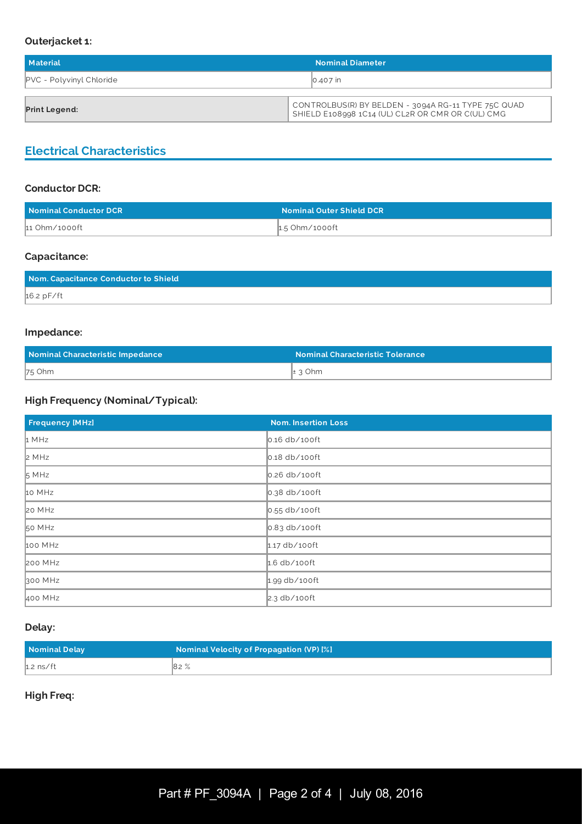#### **Outerjacket 1:**

| Material                        | <b>Nominal Diameter</b>                                                                                  |
|---------------------------------|----------------------------------------------------------------------------------------------------------|
| <b>PVC</b> - Polyvinyl Chloride | 0.407 in                                                                                                 |
|                                 |                                                                                                          |
| <b>Print Legend:</b>            | CONTROLBUS(R) BY BELDEN - 3094A RG-11 TYPE 75C QUAD<br>SHIELD E108998 1C14 (UL) CL2R OR CMR OR C(UL) CMG |

# **Electrical Characteristics**

### **Conductor DCR:**

| Nominal Conductor DCR | <b>Nominal Outer Shield DCR</b> |
|-----------------------|---------------------------------|
| 11 Ohm/1000ft         | 1.5 Ohm/1000ft                  |

#### **Capacitance:**

| Nom. Capacitance Conductor to Shield |  |
|--------------------------------------|--|
| $16.2$ pF/ft                         |  |

#### **Impedance:**

| Nominal Characteristic Impedance | <b>Nominal Characteristic Tolerance</b> |  |
|----------------------------------|-----------------------------------------|--|
| $75$ Ohm                         | $\pm$ 3 Ohm                             |  |

## **High Frequency (Nominal/Typical):**

| <b>Frequency [MHz]</b> | <b>Nom. Insertion Loss</b>   |
|------------------------|------------------------------|
| 1 MHz                  | $\vert$ 0.16 db/100ft        |
| 2 MHz                  | $\vert$ 0.18 db/100ft        |
| 5 MHz                  | $\vert$ 0.26 db/100ft        |
| 10 MHz                 | $\vert$ 0.38 db/100ft        |
| 20 MHz                 | $\big 0.55 \right $ db/100ft |
| 50 MHz                 | $\big 0.83 \right $ db/100ft |
| 100 MHz                | $1.17$ db/100ft              |
| <b>200 MHz</b>         | $1.6$ db/100ft               |
| 300 MHz                | $1.99$ db/100ft              |
| 400 MHz                | $2.3$ db/100ft               |

### **Delay:**

| Nominal Delay | Nominal Velocity of Propagation (VP) [%] |
|---------------|------------------------------------------|
| $h.2$ ns/ft   | 82%                                      |

## **High Freq:**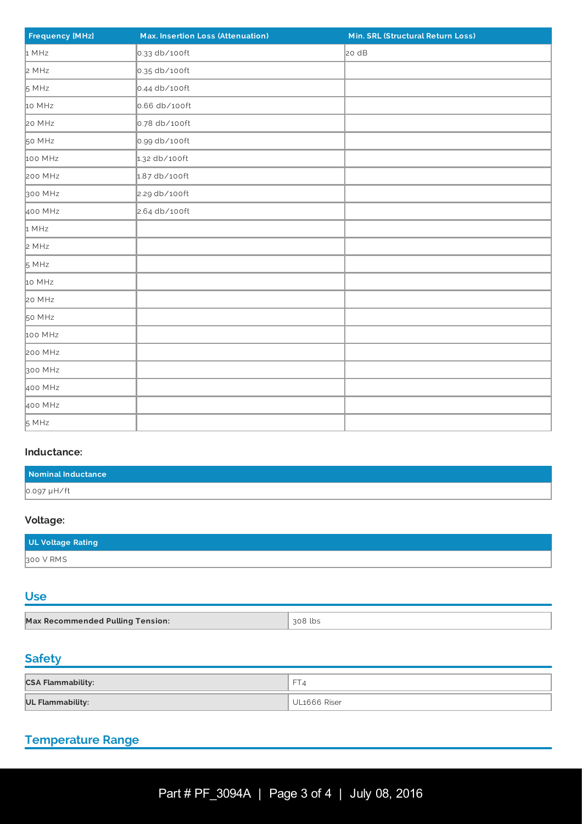| <b>Frequency [MHz]</b> | Max. Insertion Loss (Attenuation) | Min. SRL (Structural Return Loss) |
|------------------------|-----------------------------------|-----------------------------------|
| 1 MHz                  | 0.33 db/100ft                     | 20 dB                             |
| 2 MHz                  | 0.35 db/100ft                     |                                   |
| 5 MHz                  | $0.44$ db/100ft                   |                                   |
| 10 MHz                 | 0.66 db/100ft                     |                                   |
| 20 MHz                 | 0.78 db/100ft                     |                                   |
| 50 MHz                 | 0.99 db/100ft                     |                                   |
| 100 MHz                | 1.32 db/100ft                     |                                   |
| 200 MHz                | $1.87$ db/100ft                   |                                   |
| 300 MHz                | 2.29 db/100ft                     |                                   |
| 400 MHz                | 2.64 db/100ft                     |                                   |
| 1 MHz                  |                                   |                                   |
| 2 MHz                  |                                   |                                   |
| 5 MHz                  |                                   |                                   |
| 10 MHz                 |                                   |                                   |
| 20 MHz                 |                                   |                                   |
| 50 MHz                 |                                   |                                   |
| 100 MHz                |                                   |                                   |
| 200 MHz                |                                   |                                   |
| 300 MHz                |                                   |                                   |
| 400 MHz                |                                   |                                   |
| 400 MHz                |                                   |                                   |
| 5 MHz                  |                                   |                                   |

#### **Inductance:**

| Nominal Inductance |  |
|--------------------|--|
| 0.097 µH/ft        |  |

# **Voltage:**

| UL Voltage Rating |  |
|-------------------|--|
| 300 V RMS         |  |

# **Use**

| <b>Max Recommended Pulling Tension:</b> | 308 lbs |
|-----------------------------------------|---------|

# **Safety**

| <b>CSA Flammability:</b> | $\sqrt{FT_4}$ |
|--------------------------|---------------|
| <b>UL Flammability:</b>  | UL1666 Riser  |

# **Temperature Range**